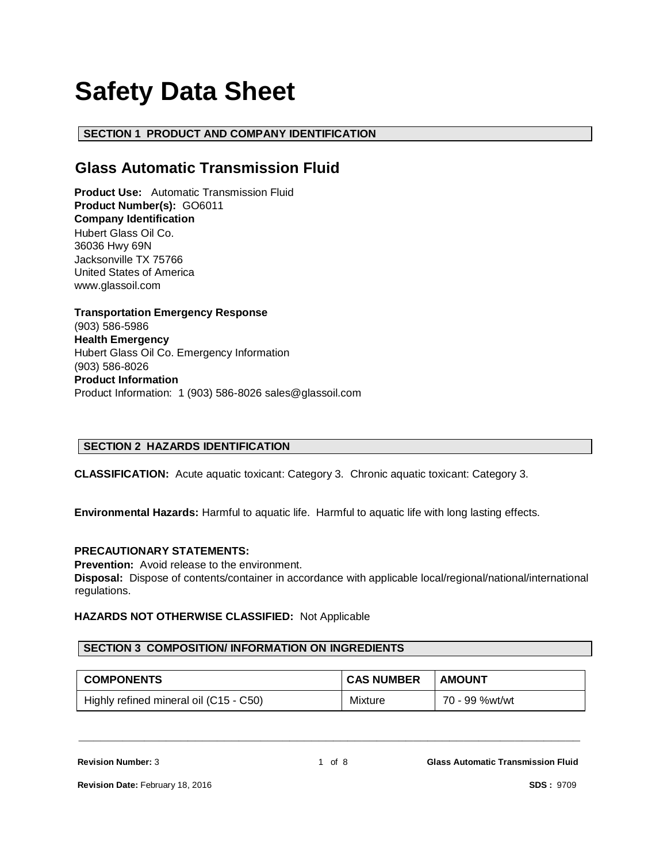# **Safety Data Sheet**

# **SECTION 1 PRODUCT AND COMPANY IDENTIFICATION**

# **Glass Automatic Transmission Fluid**

**Product Use:** Automatic Transmission Fluid **Product Number(s):** GO6011 **Company Identification** Hubert Glass Oil Co. 36036 Hwy 69N Jacksonville TX 75766 United States of America www.glassoil.com

**Transportation Emergency Response** (903) 586-5986 **Health Emergency** Hubert Glass Oil Co. Emergency Information (903) 586-8026 **Product Information**  Product Information: 1 (903) 586-8026 sales@glassoil.com

# **SECTION 2 HAZARDS IDENTIFICATION**

**CLASSIFICATION:** Acute aquatic toxicant: Category 3. Chronic aquatic toxicant: Category 3.

**Environmental Hazards:** Harmful to aquatic life. Harmful to aquatic life with long lasting effects.

# **PRECAUTIONARY STATEMENTS:**

**Prevention:** Avoid release to the environment.

**Disposal:** Dispose of contents/container in accordance with applicable local/regional/national/international regulations.

# **HAZARDS NOT OTHERWISE CLASSIFIED:** Not Applicable

# **SECTION 3 COMPOSITION/ INFORMATION ON INGREDIENTS**

| <b>COMPONENTS</b>                      | <b>CAS NUMBER</b> | <b>AMOUNT</b>  |
|----------------------------------------|-------------------|----------------|
| Highly refined mineral oil (C15 - C50) | <b>Mixture</b>    | 70 - 99 %wt/wt |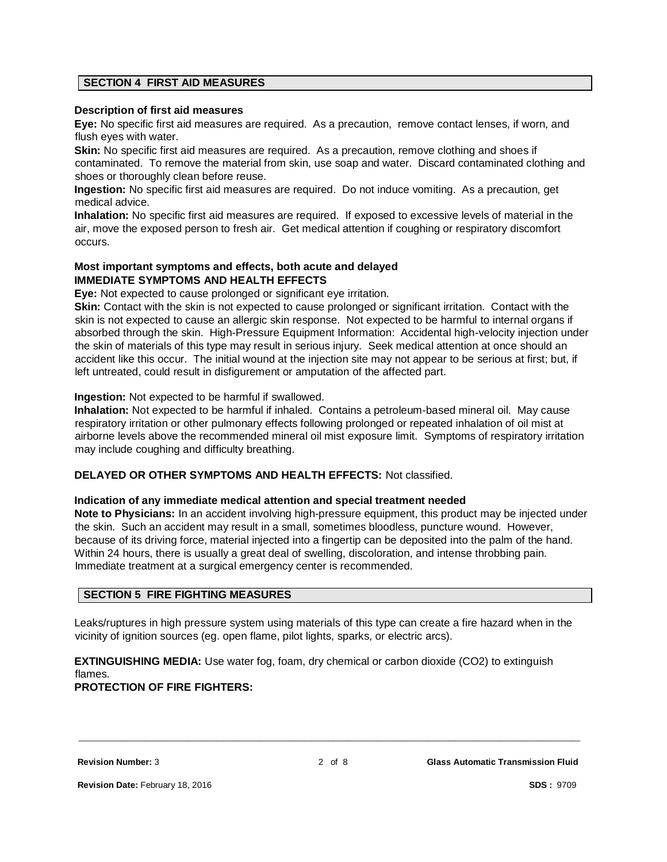#### **SECTION 4 FIRST AID MEASURES**

#### **Description of first aid measures**

**Eye:** No specific first aid measures are required. As a precaution, remove contact lenses, if worn, and flush eyes with water.

**Skin:** No specific first aid measures are required. As a precaution, remove clothing and shoes if contaminated. To remove the material from skin, use soap and water. Discard contaminated clothing and shoes or thoroughly clean before reuse.

**Ingestion:** No specific first aid measures are required. Do not induce vomiting. As a precaution, get medical advice.

**Inhalation:** No specific first aid measures are required. If exposed to excessive levels of material in the air, move the exposed person to fresh air. Get medical attention if coughing or respiratory discomfort occurs.

# **Most important symptoms and effects, both acute and delayed IMMEDIATE SYMPTOMS AND HEALTH EFFECTS**

**Eye:** Not expected to cause prolonged or significant eye irritation.

**Skin:** Contact with the skin is not expected to cause prolonged or significant irritation. Contact with the skin is not expected to cause an allergic skin response. Not expected to be harmful to internal organs if absorbed through the skin. High-Pressure Equipment Information: Accidental high-velocity injection under the skin of materials of this type may result in serious injury. Seek medical attention at once should an accident like this occur. The initial wound at the injection site may not appear to be serious at first; but, if left untreated, could result in disfigurement or amputation of the affected part.

#### **Ingestion:** Not expected to be harmful if swallowed.

**Inhalation:** Not expected to be harmful if inhaled. Contains a petroleum-based mineral oil. May cause respiratory irritation or other pulmonary effects following prolonged or repeated inhalation of oil mist at airborne levels above the recommended mineral oil mist exposure limit. Symptoms of respiratory irritation may include coughing and difficulty breathing.

# **DELAYED OR OTHER SYMPTOMS AND HEALTH EFFECTS:** Not classified.

#### **Indication of any immediate medical attention and special treatment needed**

**Note to Physicians:** In an accident involving high-pressure equipment, this product may be injected under the skin. Such an accident may result in a small, sometimes bloodless, puncture wound. However, because of its driving force, material injected into a fingertip can be deposited into the palm of the hand. Within 24 hours, there is usually a great deal of swelling, discoloration, and intense throbbing pain. Immediate treatment at a surgical emergency center is recommended.

#### **SECTION 5 FIRE FIGHTING MEASURES**

Leaks/ruptures in high pressure system using materials of this type can create a fire hazard when in the vicinity of ignition sources (eg. open flame, pilot lights, sparks, or electric arcs).

**EXTINGUISHING MEDIA:** Use water fog, foam, dry chemical or carbon dioxide (CO2) to extinguish flames.

#### **PROTECTION OF FIRE FIGHTERS:**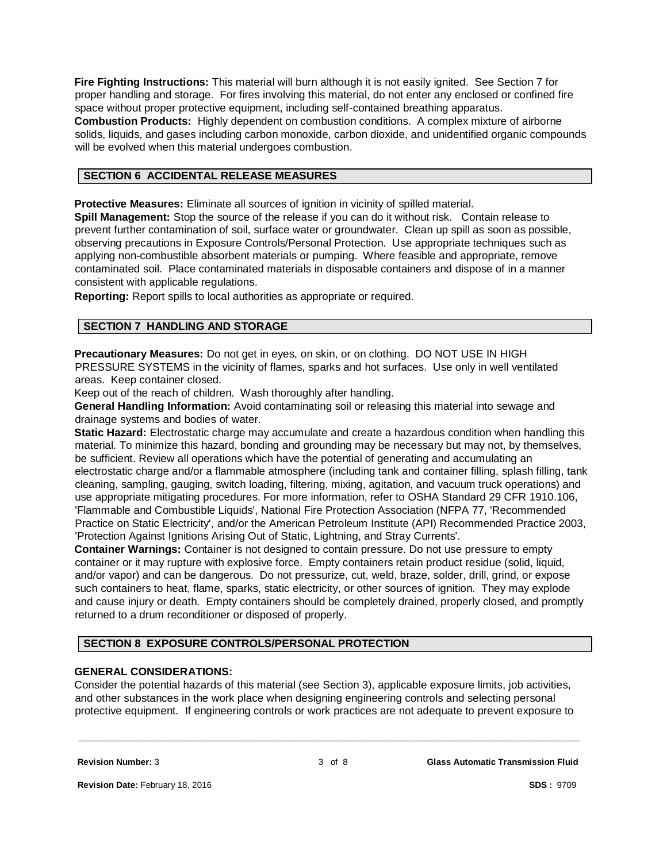**Fire Fighting Instructions:** This material will burn although it is not easily ignited. See Section 7 for proper handling and storage. For fires involving this material, do not enter any enclosed or confined fire space without proper protective equipment, including self-contained breathing apparatus. **Combustion Products:** Highly dependent on combustion conditions. A complex mixture of airborne solids, liquids, and gases including carbon monoxide, carbon dioxide, and unidentified organic compounds will be evolved when this material undergoes combustion.

# **SECTION 6 ACCIDENTAL RELEASE MEASURES**

**Protective Measures:** Eliminate all sources of ignition in vicinity of spilled material.

**Spill Management:** Stop the source of the release if you can do it without risk. Contain release to prevent further contamination of soil, surface water or groundwater. Clean up spill as soon as possible, observing precautions in Exposure Controls/Personal Protection. Use appropriate techniques such as applying non-combustible absorbent materials or pumping. Where feasible and appropriate, remove contaminated soil. Place contaminated materials in disposable containers and dispose of in a manner consistent with applicable regulations.

**Reporting:** Report spills to local authorities as appropriate or required.

# **SECTION 7 HANDLING AND STORAGE**

**Precautionary Measures:** Do not get in eyes, on skin, or on clothing. DO NOT USE IN HIGH PRESSURE SYSTEMS in the vicinity of flames, sparks and hot surfaces. Use only in well ventilated areas. Keep container closed.

Keep out of the reach of children. Wash thoroughly after handling.

**General Handling Information:** Avoid contaminating soil or releasing this material into sewage and drainage systems and bodies of water.

**Static Hazard:** Electrostatic charge may accumulate and create a hazardous condition when handling this material. To minimize this hazard, bonding and grounding may be necessary but may not, by themselves, be sufficient. Review all operations which have the potential of generating and accumulating an electrostatic charge and/or a flammable atmosphere (including tank and container filling, splash filling, tank cleaning, sampling, gauging, switch loading, filtering, mixing, agitation, and vacuum truck operations) and use appropriate mitigating procedures. For more information, refer to OSHA Standard 29 CFR 1910.106, 'Flammable and Combustible Liquids', National Fire Protection Association (NFPA 77, 'Recommended Practice on Static Electricity', and/or the American Petroleum Institute (API) Recommended Practice 2003, 'Protection Against Ignitions Arising Out of Static, Lightning, and Stray Currents'.

**Container Warnings:** Container is not designed to contain pressure. Do not use pressure to empty container or it may rupture with explosive force. Empty containers retain product residue (solid, liquid, and/or vapor) and can be dangerous. Do not pressurize, cut, weld, braze, solder, drill, grind, or expose such containers to heat, flame, sparks, static electricity, or other sources of ignition. They may explode and cause injury or death. Empty containers should be completely drained, properly closed, and promptly returned to a drum reconditioner or disposed of properly.

# **SECTION 8 EXPOSURE CONTROLS/PERSONAL PROTECTION**

#### **GENERAL CONSIDERATIONS:**

Consider the potential hazards of this material (see Section 3), applicable exposure limits, job activities, and other substances in the work place when designing engineering controls and selecting personal protective equipment. If engineering controls or work practices are not adequate to prevent exposure to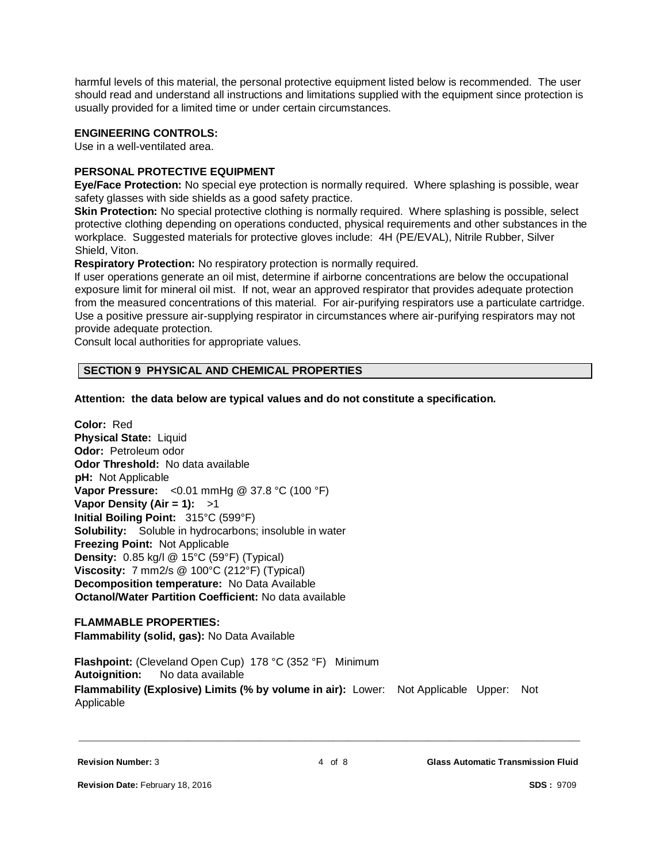harmful levels of this material, the personal protective equipment listed below is recommended. The user should read and understand all instructions and limitations supplied with the equipment since protection is usually provided for a limited time or under certain circumstances.

# **ENGINEERING CONTROLS:**

Use in a well-ventilated area.

# **PERSONAL PROTECTIVE EQUIPMENT**

**Eye/Face Protection:** No special eye protection is normally required. Where splashing is possible, wear safety glasses with side shields as a good safety practice.

**Skin Protection:** No special protective clothing is normally required. Where splashing is possible, select protective clothing depending on operations conducted, physical requirements and other substances in the workplace. Suggested materials for protective gloves include: 4H (PE/EVAL), Nitrile Rubber, Silver Shield, Viton.

**Respiratory Protection:** No respiratory protection is normally required.

If user operations generate an oil mist, determine if airborne concentrations are below the occupational exposure limit for mineral oil mist. If not, wear an approved respirator that provides adequate protection from the measured concentrations of this material. For air-purifying respirators use a particulate cartridge. Use a positive pressure air-supplying respirator in circumstances where air-purifying respirators may not provide adequate protection.

Consult local authorities for appropriate values.

#### **SECTION 9 PHYSICAL AND CHEMICAL PROPERTIES**

**Attention: the data below are typical values and do not constitute a specification.**

**Color:** Red **Physical State:** Liquid **Odor:** Petroleum odor **Odor Threshold:** No data available **pH:** Not Applicable **Vapor Pressure:** <0.01 mmHg @ 37.8 °C (100 °F) **Vapor Density (Air = 1):** >1 **Initial Boiling Point:** 315°C (599°F) **Solubility:** Soluble in hydrocarbons; insoluble in water **Freezing Point:** Not Applicable **Density:** 0.85 kg/l @ 15°C (59°F) (Typical) **Viscosity:** 7 mm2/s @ 100°C (212°F) (Typical) **Decomposition temperature:** No Data Available **Octanol/Water Partition Coefficient:** No data available

# **FLAMMABLE PROPERTIES:**

**Flammability (solid, gas):** No Data Available

**Flashpoint:** (Cleveland Open Cup) 178 °C (352 °F) Minimum **Autoignition:** No data available **Flammability (Explosive) Limits (% by volume in air):** Lower: Not Applicable Upper: Not Applicable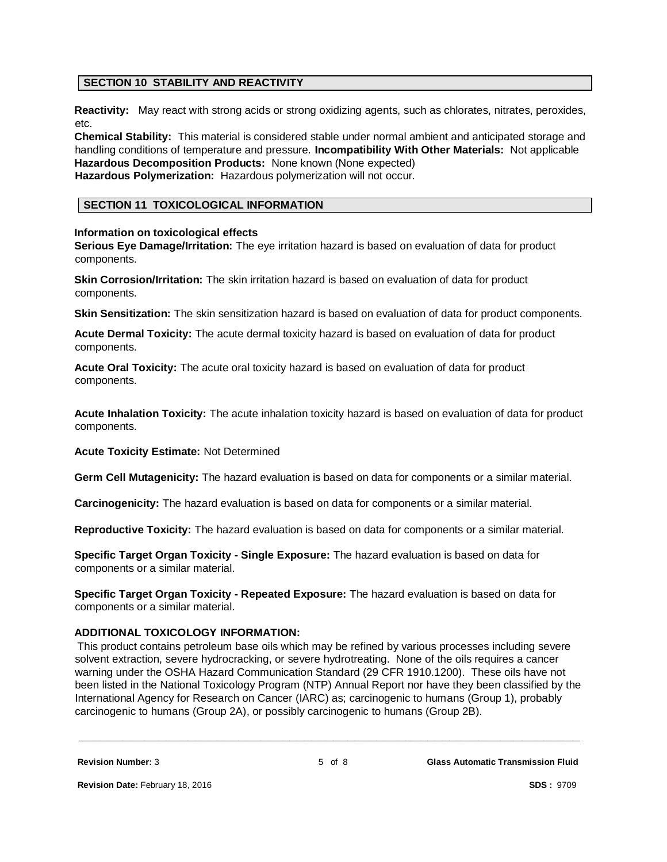# **SECTION 10 STABILITY AND REACTIVITY**

**Reactivity:** May react with strong acids or strong oxidizing agents, such as chlorates, nitrates, peroxides, etc.

**Chemical Stability:** This material is considered stable under normal ambient and anticipated storage and handling conditions of temperature and pressure. **Incompatibility With Other Materials:** Not applicable **Hazardous Decomposition Products:** None known (None expected)

**Hazardous Polymerization:** Hazardous polymerization will not occur.

# **SECTION 11 TOXICOLOGICAL INFORMATION**

#### **Information on toxicological effects**

**Serious Eye Damage/Irritation:** The eye irritation hazard is based on evaluation of data for product components.

**Skin Corrosion/Irritation:** The skin irritation hazard is based on evaluation of data for product components.

**Skin Sensitization:** The skin sensitization hazard is based on evaluation of data for product components.

**Acute Dermal Toxicity:** The acute dermal toxicity hazard is based on evaluation of data for product components.

**Acute Oral Toxicity:** The acute oral toxicity hazard is based on evaluation of data for product components.

**Acute Inhalation Toxicity:** The acute inhalation toxicity hazard is based on evaluation of data for product components.

**Acute Toxicity Estimate:** Not Determined

**Germ Cell Mutagenicity:** The hazard evaluation is based on data for components or a similar material.

**Carcinogenicity:** The hazard evaluation is based on data for components or a similar material.

**Reproductive Toxicity:** The hazard evaluation is based on data for components or a similar material.

**Specific Target Organ Toxicity - Single Exposure:** The hazard evaluation is based on data for components or a similar material.

**Specific Target Organ Toxicity - Repeated Exposure:** The hazard evaluation is based on data for components or a similar material.

#### **ADDITIONAL TOXICOLOGY INFORMATION:**

This product contains petroleum base oils which may be refined by various processes including severe solvent extraction, severe hydrocracking, or severe hydrotreating. None of the oils requires a cancer warning under the OSHA Hazard Communication Standard (29 CFR 1910.1200). These oils have not been listed in the National Toxicology Program (NTP) Annual Report nor have they been classified by the International Agency for Research on Cancer (IARC) as; carcinogenic to humans (Group 1), probably carcinogenic to humans (Group 2A), or possibly carcinogenic to humans (Group 2B).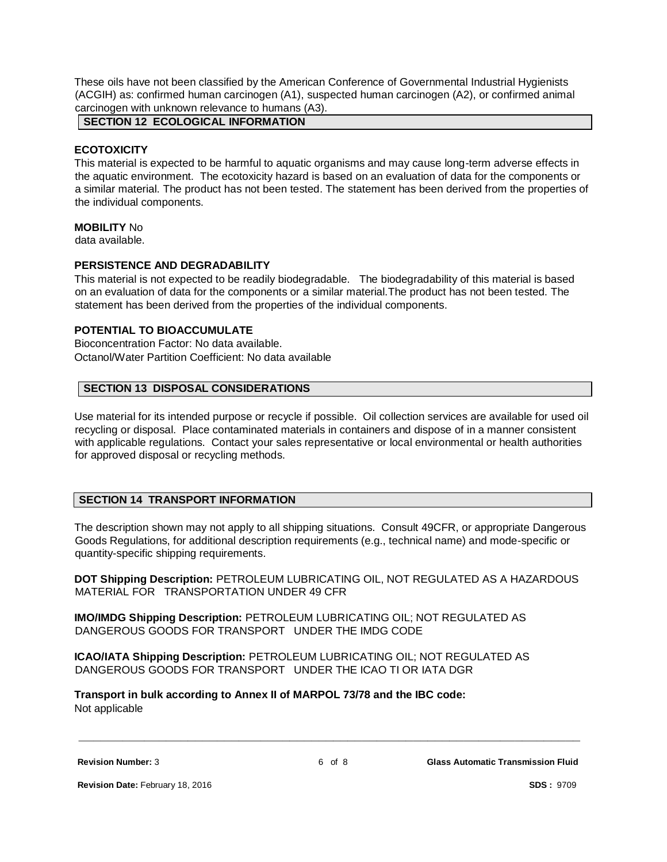These oils have not been classified by the American Conference of Governmental Industrial Hygienists (ACGIH) as: confirmed human carcinogen (A1), suspected human carcinogen (A2), or confirmed animal carcinogen with unknown relevance to humans (A3).

**SECTION 12 ECOLOGICAL INFORMATION**

#### **ECOTOXICITY**

This material is expected to be harmful to aquatic organisms and may cause long-term adverse effects in the aquatic environment. The ecotoxicity hazard is based on an evaluation of data for the components or a similar material. The product has not been tested. The statement has been derived from the properties of the individual components.

#### **MOBILITY** No

data available.

# **PERSISTENCE AND DEGRADABILITY**

This material is not expected to be readily biodegradable. The biodegradability of this material is based on an evaluation of data for the components or a similar material.The product has not been tested. The statement has been derived from the properties of the individual components.

# **POTENTIAL TO BIOACCUMULATE**

Bioconcentration Factor: No data available. Octanol/Water Partition Coefficient: No data available

# **SECTION 13 DISPOSAL CONSIDERATIONS**

Use material for its intended purpose or recycle if possible. Oil collection services are available for used oil recycling or disposal. Place contaminated materials in containers and dispose of in a manner consistent with applicable regulations. Contact your sales representative or local environmental or health authorities for approved disposal or recycling methods.

# **SECTION 14 TRANSPORT INFORMATION**

The description shown may not apply to all shipping situations. Consult 49CFR, or appropriate Dangerous Goods Regulations, for additional description requirements (e.g., technical name) and mode-specific or quantity-specific shipping requirements.

**DOT Shipping Description:** PETROLEUM LUBRICATING OIL, NOT REGULATED AS A HAZARDOUS MATERIAL FOR TRANSPORTATION UNDER 49 CFR

**IMO/IMDG Shipping Description:** PETROLEUM LUBRICATING OIL; NOT REGULATED AS DANGEROUS GOODS FOR TRANSPORT UNDER THE IMDG CODE

**ICAO/IATA Shipping Description:** PETROLEUM LUBRICATING OIL; NOT REGULATED AS DANGEROUS GOODS FOR TRANSPORT UNDER THE ICAO TI OR IATA DGR

**Transport in bulk according to Annex II of MARPOL 73/78 and the IBC code:** Not applicable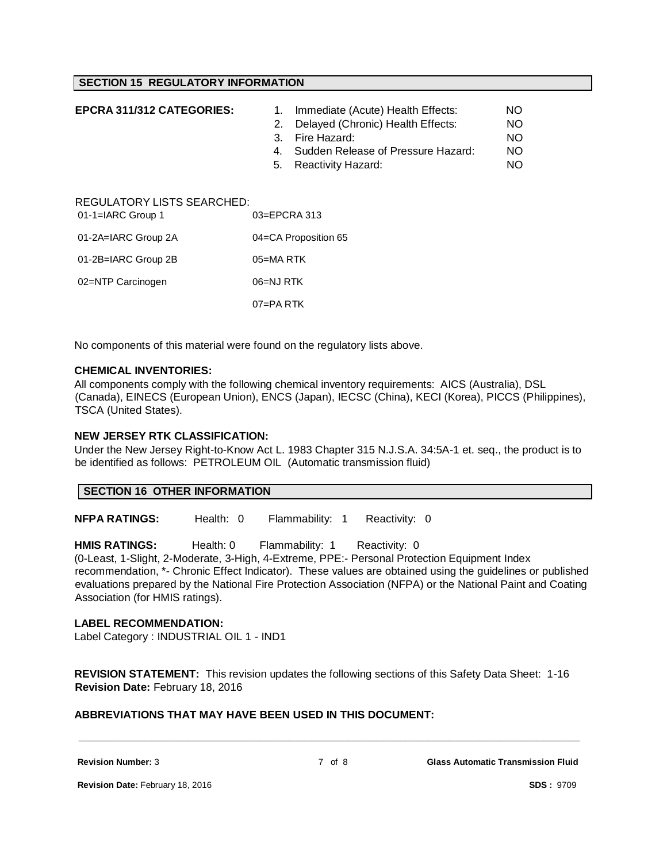#### **SECTION 15 REGULATORY INFORMATION**

| EPCRA 311/312 CATEGORIES:                         | 1.<br>2.<br>3.<br>4.<br>5. | Immediate (Acute) Health Effects:<br>Delayed (Chronic) Health Effects:<br>Fire Hazard:<br>Sudden Release of Pressure Hazard:<br>Reactivity Hazard: | NO.<br>NO.<br><b>NO</b><br>NO.<br><b>NO</b> |
|---------------------------------------------------|----------------------------|----------------------------------------------------------------------------------------------------------------------------------------------------|---------------------------------------------|
| REGULATORY LISTS SEARCHED:<br>$01-1=IARC$ Group 1 | $03 = EPCRA$ 313           |                                                                                                                                                    |                                             |
| 01-2A=IARC Group 2A                               | 04=CA Proposition 65       |                                                                                                                                                    |                                             |
| 01-2B=IARC Group 2B                               | $05 = MA$ RTK              |                                                                                                                                                    |                                             |
| 02=NTP Carcinogen                                 | 06=NJ RTK                  |                                                                                                                                                    |                                             |
|                                                   | $07 = PA$ RTK              |                                                                                                                                                    |                                             |

No components of this material were found on the regulatory lists above.

#### **CHEMICAL INVENTORIES:**

All components comply with the following chemical inventory requirements: AICS (Australia), DSL (Canada), EINECS (European Union), ENCS (Japan), IECSC (China), KECI (Korea), PICCS (Philippines), TSCA (United States).

#### **NEW JERSEY RTK CLASSIFICATION:**

Under the New Jersey Right-to-Know Act L. 1983 Chapter 315 N.J.S.A. 34:5A-1 et. seq., the product is to be identified as follows: PETROLEUM OIL (Automatic transmission fluid)

#### **SECTION 16 OTHER INFORMATION**

**NFPA RATINGS:** Health: 0 Flammability: 1 Reactivity: 0

**HMIS RATINGS:** Health: 0 Flammability: 1 Reactivity: 0 (0-Least, 1-Slight, 2-Moderate, 3-High, 4-Extreme, PPE:- Personal Protection Equipment Index recommendation, \*- Chronic Effect Indicator). These values are obtained using the guidelines or published evaluations prepared by the National Fire Protection Association (NFPA) or the National Paint and Coating Association (for HMIS ratings).

#### **LABEL RECOMMENDATION:**

Label Category : INDUSTRIAL OIL 1 - IND1

**REVISION STATEMENT:** This revision updates the following sections of this Safety Data Sheet: 1-16 **Revision Date:** February 18, 2016

# **ABBREVIATIONS THAT MAY HAVE BEEN USED IN THIS DOCUMENT:**